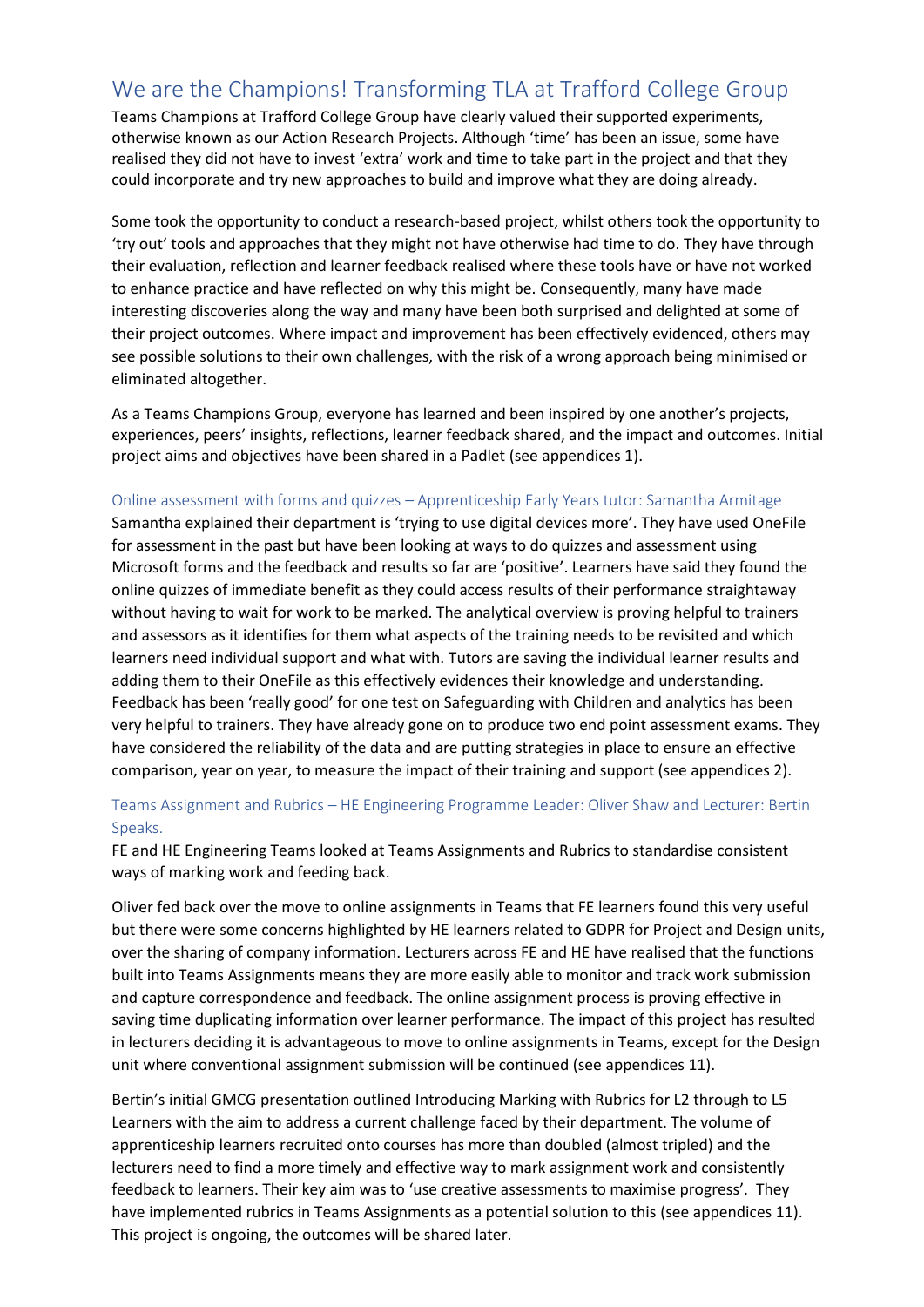# We are the Champions! Transforming TLA at Trafford College Group

Teams Champions at Trafford College Group have clearly valued their supported experiments, otherwise known as our Action Research Projects. Although 'time' has been an issue, some have realised they did not have to invest 'extra' work and time to take part in the project and that they could incorporate and try new approaches to build and improve what they are doing already.

Some took the opportunity to conduct a research-based project, whilst others took the opportunity to 'try out' tools and approaches that they might not have otherwise had time to do. They have through their evaluation, reflection and learner feedback realised where these tools have or have not worked to enhance practice and have reflected on why this might be. Consequently, many have made interesting discoveries along the way and many have been both surprised and delighted at some of their project outcomes. Where impact and improvement has been effectively evidenced, others may see possible solutions to their own challenges, with the risk of a wrong approach being minimised or eliminated altogether.

As a Teams Champions Group, everyone has learned and been inspired by one another's projects, experiences, peers' insights, reflections, learner feedback shared, and the impact and outcomes. Initial project aims and objectives have been shared in a Padlet (see appendices 1).

#### Online assessment with forms and quizzes – Apprenticeship Early Years tutor: Samantha Armitage

Samantha explained their department is 'trying to use digital devices more'. They have used OneFile for assessment in the past but have been looking at ways to do quizzes and assessment using Microsoft forms and the feedback and results so far are 'positive'. Learners have said they found the online quizzes of immediate benefit as they could access results of their performance straightaway without having to wait for work to be marked. The analytical overview is proving helpful to trainers and assessors as it identifies for them what aspects of the training needs to be revisited and which learners need individual support and what with. Tutors are saving the individual learner results and adding them to their OneFile as this effectively evidences their knowledge and understanding. Feedback has been 'really good' for one test on Safeguarding with Children and analytics has been very helpful to trainers. They have already gone on to produce two end point assessment exams. They have considered the reliability of the data and are putting strategies in place to ensure an effective comparison, year on year, to measure the impact of their training and support (see appendices 2).

#### Teams Assignment and Rubrics – HE Engineering Programme Leader: Oliver Shaw and Lecturer: Bertin Speaks.

FE and HE Engineering Teams looked at Teams Assignments and Rubrics to standardise consistent ways of marking work and feeding back.

Oliver fed back over the move to online assignments in Teams that FE learners found this very useful but there were some concerns highlighted by HE learners related to GDPR for Project and Design units, over the sharing of company information. Lecturers across FE and HE have realised that the functions built into Teams Assignments means they are more easily able to monitor and track work submission and capture correspondence and feedback. The online assignment process is proving effective in saving time duplicating information over learner performance. The impact of this project has resulted in lecturers deciding it is advantageous to move to online assignments in Teams, except for the Design unit where conventional assignment submission will be continued (see appendices 11).

Bertin's initial GMCG presentation outlined Introducing Marking with Rubrics for L2 through to L5 Learners with the aim to address a current challenge faced by their department. The volume of apprenticeship learners recruited onto courses has more than doubled (almost tripled) and the lecturers need to find a more timely and effective way to mark assignment work and consistently feedback to learners. Their key aim was to 'use creative assessments to maximise progress'. They have implemented rubrics in Teams Assignments as a potential solution to this (see appendices 11). This project is ongoing, the outcomes will be shared later.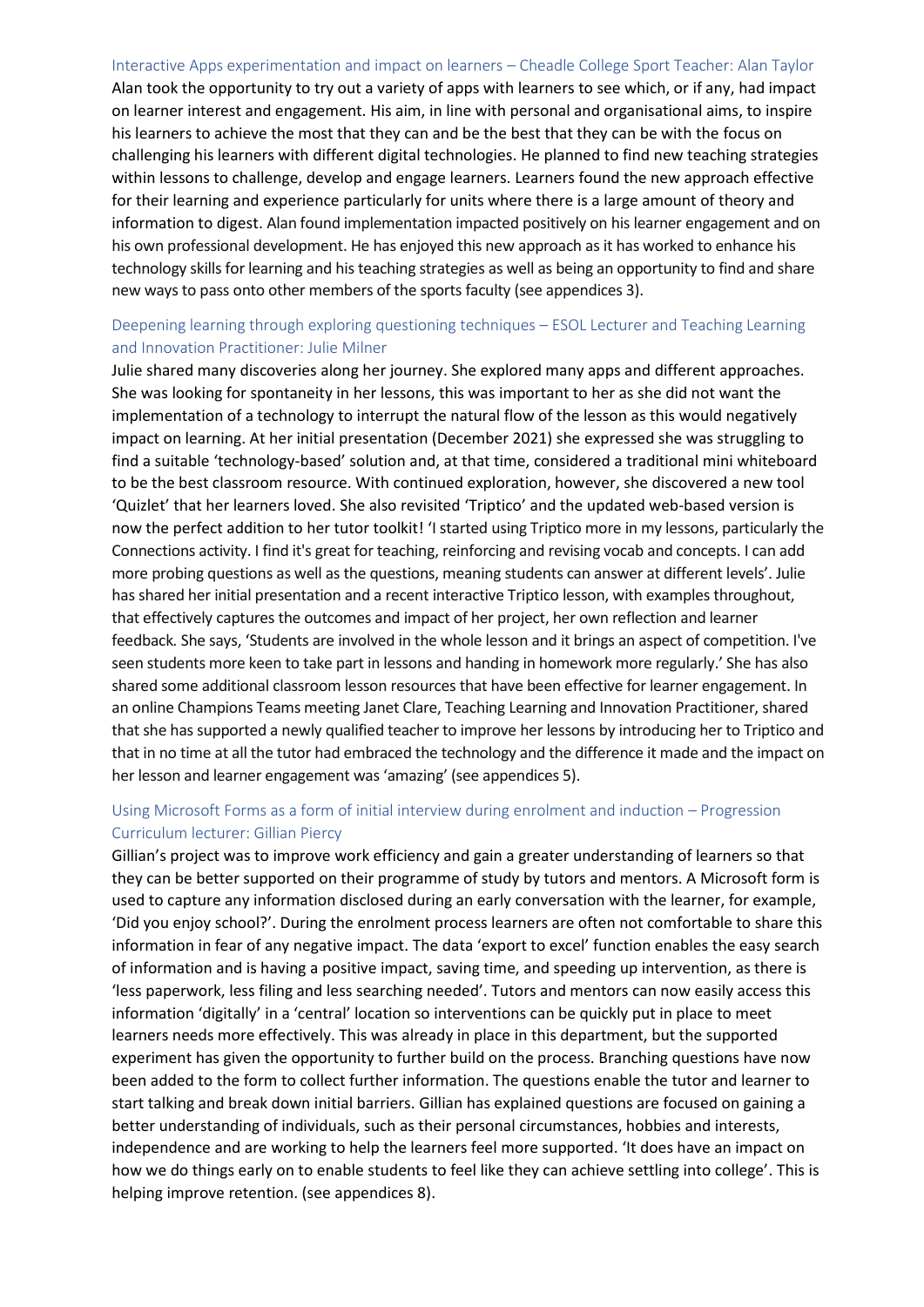Interactive Apps experimentation and impact on learners – Cheadle College Sport Teacher: Alan Taylor Alan took the opportunity to try out a variety of apps with learners to see which, or if any, had impact on learner interest and engagement. His aim, in line with personal and organisational aims, to inspire his learners to achieve the most that they can and be the best that they can be with the focus on challenging his learners with different digital technologies. He planned to find new teaching strategies within lessons to challenge, develop and engage learners. Learners found the new approach effective for their learning and experience particularly for units where there is a large amount of theory and information to digest. Alan found implementation impacted positively on his learner engagement and on his own professional development. He has enjoyed this new approach as it has worked to enhance his technology skills for learning and his teaching strategies as well as being an opportunity to find and share new ways to pass onto other members of the sports faculty (see appendices 3).

## Deepening learning through exploring questioning techniques – ESOL Lecturer and Teaching Learning and Innovation Practitioner: Julie Milner

Julie shared many discoveries along her journey. She explored many apps and different approaches. She was looking for spontaneity in her lessons, this was important to her as she did not want the implementation of a technology to interrupt the natural flow of the lesson as this would negatively impact on learning. At her initial presentation (December 2021) she expressed she was struggling to find a suitable 'technology-based' solution and, at that time, considered a traditional mini whiteboard to be the best classroom resource. With continued exploration, however, she discovered a new tool 'Quizlet' that her learners loved. She also revisited 'Triptico' and the updated web-based version is now the perfect addition to her tutor toolkit! 'I started using Triptico more in my lessons, particularly the Connections activity. I find it's great for teaching, reinforcing and revising vocab and concepts. I can add more probing questions as well as the questions, meaning students can answer at different levels'. Julie has shared her initial presentation and a recent interactive Triptico lesson, with examples throughout, that effectively captures the outcomes and impact of her project, her own reflection and learner feedback*.* She says, 'Students are involved in the whole lesson and it brings an aspect of competition. I've seen students more keen to take part in lessons and handing in homework more regularly.' She has also shared some additional classroom lesson resources that have been effective for learner engagement. In an online Champions Teams meeting Janet Clare, Teaching Learning and Innovation Practitioner, shared that she has supported a newly qualified teacher to improve her lessons by introducing her to Triptico and that in no time at all the tutor had embraced the technology and the difference it made and the impact on her lesson and learner engagement was 'amazing' (see appendices 5).

## Using Microsoft Forms as a form of initial interview during enrolment and induction – Progression Curriculum lecturer: Gillian Piercy

Gillian's project was to improve work efficiency and gain a greater understanding of learners so that they can be better supported on their programme of study by tutors and mentors. A Microsoft form is used to capture any information disclosed during an early conversation with the learner, for example, 'Did you enjoy school?'. During the enrolment process learners are often not comfortable to share this information in fear of any negative impact. The data 'export to excel' function enables the easy search of information and is having a positive impact, saving time, and speeding up intervention, as there is 'less paperwork, less filing and less searching needed'. Tutors and mentors can now easily access this information 'digitally' in a 'central' location so interventions can be quickly put in place to meet learners needs more effectively. This was already in place in this department, but the supported experiment has given the opportunity to further build on the process. Branching questions have now been added to the form to collect further information. The questions enable the tutor and learner to start talking and break down initial barriers. Gillian has explained questions are focused on gaining a better understanding of individuals, such as their personal circumstances, hobbies and interests, independence and are working to help the learners feel more supported. 'It does have an impact on how we do things early on to enable students to feel like they can achieve settling into college'. This is helping improve retention. (see appendices 8).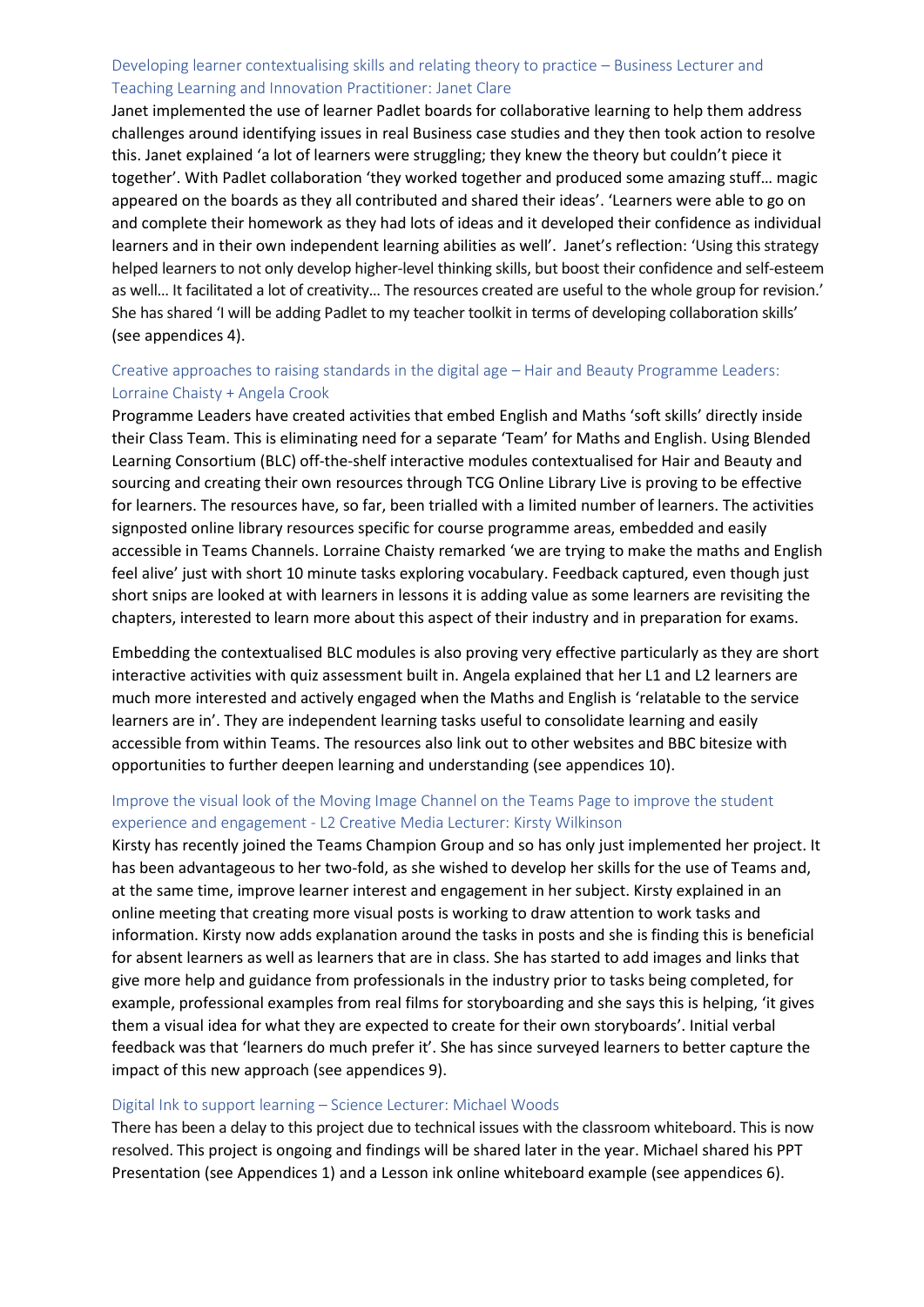### Developing learner contextualising skills and relating theory to practice – Business Lecturer and Teaching Learning and Innovation Practitioner: Janet Clare

Janet implemented the use of learner Padlet boards for collaborative learning to help them address challenges around identifying issues in real Business case studies and they then took action to resolve this. Janet explained 'a lot of learners were struggling; they knew the theory but couldn't piece it together'. With Padlet collaboration 'they worked together and produced some amazing stuff… magic appeared on the boards as they all contributed and shared their ideas'. 'Learners were able to go on and complete their homework as they had lots of ideas and it developed their confidence as individual learners and in their own independent learning abilities as well'. Janet's reflection: 'Using this strategy helped learners to not only develop higher-level thinking skills, but boost their confidence and self-esteem as well… It facilitated a lot of creativity… The resources created are useful to the whole group for revision.' She has shared 'I will be adding Padlet to my teacher toolkit in terms of developing collaboration skills' (see appendices 4).

### Creative approaches to raising standards in the digital age – Hair and Beauty Programme Leaders: Lorraine Chaisty + Angela Crook

Programme Leaders have created activities that embed English and Maths 'soft skills' directly inside their Class Team. This is eliminating need for a separate 'Team' for Maths and English. Using Blended Learning Consortium (BLC) off-the-shelf interactive modules contextualised for Hair and Beauty and sourcing and creating their own resources through TCG Online Library Live is proving to be effective for learners. The resources have, so far, been trialled with a limited number of learners. The activities signposted online library resources specific for course programme areas, embedded and easily accessible in Teams Channels. Lorraine Chaisty remarked 'we are trying to make the maths and English feel alive' just with short 10 minute tasks exploring vocabulary. Feedback captured, even though just short snips are looked at with learners in lessons it is adding value as some learners are revisiting the chapters, interested to learn more about this aspect of their industry and in preparation for exams.

Embedding the contextualised BLC modules is also proving very effective particularly as they are short interactive activities with quiz assessment built in. Angela explained that her L1 and L2 learners are much more interested and actively engaged when the Maths and English is 'relatable to the service learners are in'. They are independent learning tasks useful to consolidate learning and easily accessible from within Teams. The resources also link out to other websites and BBC bitesize with opportunities to further deepen learning and understanding (see appendices 10).

#### Improve the visual look of the Moving Image Channel on the Teams Page to improve the student experience and engagement - L2 Creative Media Lecturer: Kirsty Wilkinson

Kirsty has recently joined the Teams Champion Group and so has only just implemented her project. It has been advantageous to her two-fold, as she wished to develop her skills for the use of Teams and, at the same time, improve learner interest and engagement in her subject. Kirsty explained in an online meeting that creating more visual posts is working to draw attention to work tasks and information. Kirsty now adds explanation around the tasks in posts and she is finding this is beneficial for absent learners as well as learners that are in class. She has started to add images and links that give more help and guidance from professionals in the industry prior to tasks being completed, for example, professional examples from real films for storyboarding and she says this is helping, 'it gives them a visual idea for what they are expected to create for their own storyboards'. Initial verbal feedback was that 'learners do much prefer it'. She has since surveyed learners to better capture the impact of this new approach (see appendices 9).

#### Digital Ink to support learning – Science Lecturer: Michael Woods

There has been a delay to this project due to technical issues with the classroom whiteboard. This is now resolved. This project is ongoing and findings will be shared later in the year. Michael shared his PPT Presentation (see Appendices 1) and a Lesson ink online whiteboard example (see appendices 6).